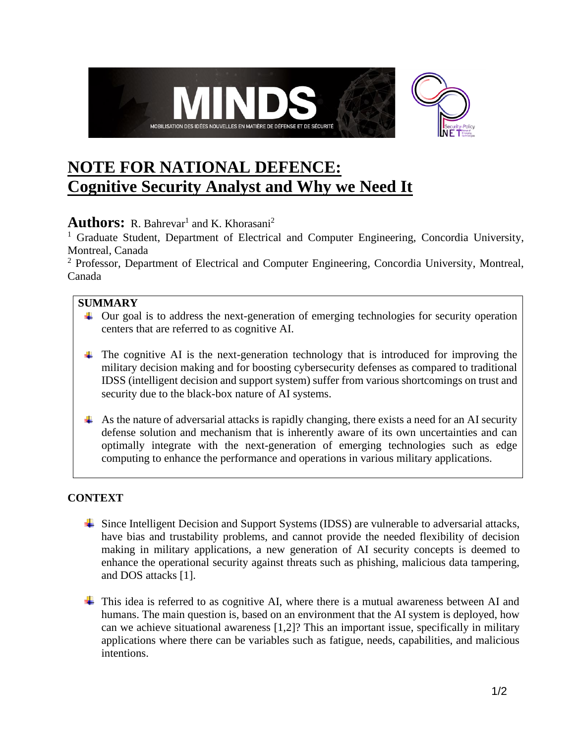

# **NOTE FOR NATIONAL DEFENCE: Cognitive Security Analyst and Why we Need It**

## **Authors:** R. Bahrevar<sup>1</sup> and K. Khorasani<sup>2</sup>

<sup>1</sup> Graduate Student, Department of Electrical and Computer Engineering, Concordia University, Montreal, Canada

<sup>2</sup> Professor, Department of Electrical and Computer Engineering, Concordia University, Montreal, Canada

## **SUMMARY**

- ↓ Our goal is to address the next-generation of emerging technologies for security operation centers that are referred to as cognitive AI.
- $\uparrow$  The cognitive AI is the next-generation technology that is introduced for improving the military decision making and for boosting cybersecurity defenses as compared to traditional IDSS (intelligent decision and support system) suffer from various shortcomings on trust and security due to the black-box nature of AI systems.
- $\overline{\phantom{a}}$  As the nature of adversarial attacks is rapidly changing, there exists a need for an AI security defense solution and mechanism that is inherently aware of its own uncertainties and can optimally integrate with the next-generation of emerging technologies such as edge computing to enhance the performance and operations in various military applications.

### **CONTEXT**

- Since Intelligent Decision and Support Systems (IDSS) are vulnerable to adversarial attacks, have bias and trustability problems, and cannot provide the needed flexibility of decision making in military applications, a new generation of AI security concepts is deemed to enhance the operational security against threats such as phishing, malicious data tampering, and DOS attacks [1].
- $\pm$  This idea is referred to as cognitive AI, where there is a mutual awareness between AI and humans. The main question is, based on an environment that the AI system is deployed, how can we achieve situational awareness [1,2]? This an important issue, specifically in military applications where there can be variables such as fatigue, needs, capabilities, and malicious intentions.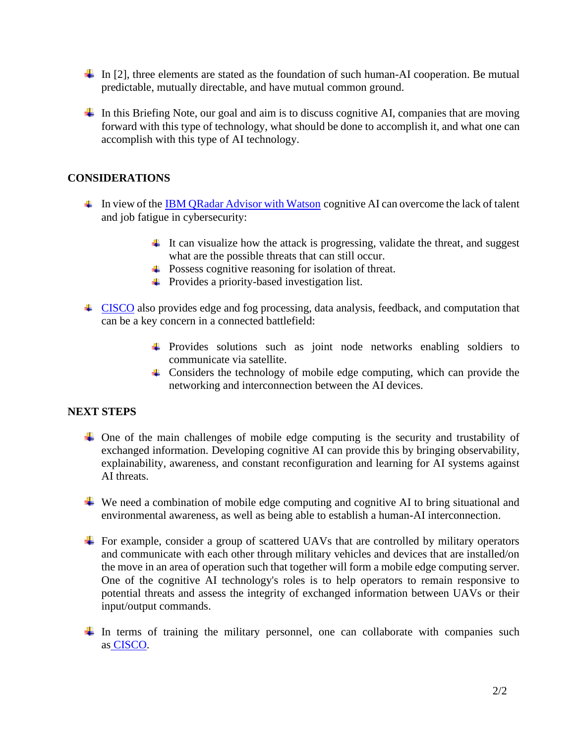- In [2], three elements are stated as the foundation of such human-AI cooperation. Be mutual predictable, mutually directable, and have mutual common ground.
- In this Briefing Note, our goal and aim is to discuss cognitive AI, companies that are moving forward with this type of technology, what should be done to accomplish it, and what one can accomplish with this type of AI technology.

#### **CONSIDERATIONS**

- In view of the [IBM QRadar Advisor with Watson](https://www.ibm.com/ca-en/products/cognitive-security-analytics) cognitive AI can overcome the lack of talent and job fatigue in cybersecurity:
	- $\ddot{\bullet}$  It can visualize how the attack is progressing, validate the threat, and suggest what are the possible threats that can still occur.
	- Possess cognitive reasoning for isolation of threat.
	- Provides a priority-based investigation list.
- <sup>4</sup> [CISCO](https://www.cisco.com/c/dam/m/digital/elq-cmcglobal/OCA/Assets/Federal/Cisco-Kinetic-At-a-Glance-FedGovt.pdf?CCID=cc000105&OID=aagxa008674) also provides edge and fog processing, data analysis, feedback, and computation that can be a key concern in a connected battlefield:
	- Provides solutions such as joint node networks enabling soldiers to communicate via satellite.
	- Considers the technology of mobile edge computing, which can provide the networking and interconnection between the AI devices.

#### **NEXT STEPS**

- $\overline{\phantom{a}}$  One of the main challenges of mobile edge computing is the security and trustability of exchanged information. Developing cognitive AI can provide this by bringing observability, explainability, awareness, and constant reconfiguration and learning for AI systems against AI threats.
- $\overline{\phantom{a}}$  We need a combination of mobile edge computing and cognitive AI to bring situational and environmental awareness, as well as being able to establish a human-AI interconnection.
- $\pm$  For example, consider a group of scattered UAVs that are controlled by military operators and communicate with each other through military vehicles and devices that are installed/on the move in an area of operation such that together will form a mobile edge computing server. One of the cognitive AI technology's roles is to help operators to remain responsive to potential threats and assess the integrity of exchanged information between UAVs or their input/output commands.
- In terms of training the military personnel, one can collaborate with companies such as [CISCO.](https://www.cisco.com/c/en/us/about/csr/impact/education/veterans-program.html#~veteran-stories)